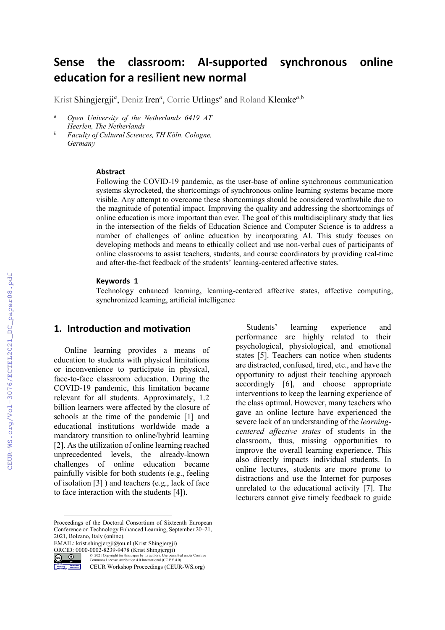# **Sense the classroom: AI-supported synchronous online education for a resilient new normal**

Krist Shingjergji*<sup>a</sup>* , Deniz Iren*<sup>a</sup>* , Corrie Urlings*<sup>a</sup>* and Roland Klemke*<sup>a</sup>*,b

- *<sup>a</sup> Open University of the Netherlands 6419 AT Heerlen, The Netherlands*
- *<sup>b</sup> Faculty of Cultural Sciences, TH Köln, Cologne, Germany*

#### **Abstract**

Following the COVID-19 pandemic, as the user-base of online synchronous communication systems skyrocketed, the shortcomings of synchronous online learning systems became more visible. Any attempt to overcome these shortcomings should be considered worthwhile due to the magnitude of potential impact. Improving the quality and addressing the shortcomings of online education is more important than ever. The goal of this multidisciplinary study that lies in the intersection of the fields of Education Science and Computer Science is to address a number of challenges of online education by incorporating AI. This study focuses on developing methods and means to ethically collect and use non-verbal cues of participants of online classrooms to assist teachers, students, and course coordinators by providing real-time and after-the-fact feedback of the students' learning-centered affective states.

#### **Keywords [1](#page-0-0)**

Technology enhanced learning, learning-centered affective states, affective computing, synchronized learning, artificial intelligence

#### **1. Introduction and motivation**

Online learning provides a means of education to students with physical limitations or inconvenience to participate in physical, face-to-face classroom education. During the COVID-19 pandemic, this limitation became relevant for all students. Approximately, 1.2 billion learners were affected by the closure of schools at the time of the pandemic [1] and educational institutions worldwide made a mandatory transition to online/hybrid learning [2]. As the utilization of online learning reached unprecedented levels, the already-known challenges of online education became painfully visible for both students (e.g., feeling of isolation [3] ) and teachers (e.g., lack of face to face interaction with the students [4]).

<span id="page-0-0"></span>Proceedings of the Doctoral Consortium of Sixteenth European Conference on Technology Enhanced Learning, September 20–21, 2021, Bolzano, Italy (online).

EMAIL: krist.shingjergji@ou.nl (Krist Shingjergji)



ORCID: 0000-0002-8239-9478 (Krist Shingjergji)<br>  $\bigcirc$   $\bigcirc$   $\bigcirc$  2021 Copyright for this paper by its authors. Use perm © 2021 Copyright for this paper by its authors. Use permitted under Creative Commons License Attribution 4.0 International (CC BY 4.0).

CEUR Workshop Proceedings (CEUR-WS.org)

Students' learning experience and performance are highly related to their psychological, physiological, and emotional states [5]. Teachers can notice when students are distracted, confused, tired, etc., and have the opportunity to adjust their teaching approach accordingly [6], and choose appropriate interventions to keep the learning experience of the class optimal. However, many teachers who gave an online lecture have experienced the severe lack of an understanding of the *learningcentered affective states* of students in the classroom, thus, missing opportunities to improve the overall learning experience. This also directly impacts individual students. In online lectures, students are more prone to distractions and use the Internet for purposes unrelated to the educational activity [7]. The lecturers cannot give timely feedback to guide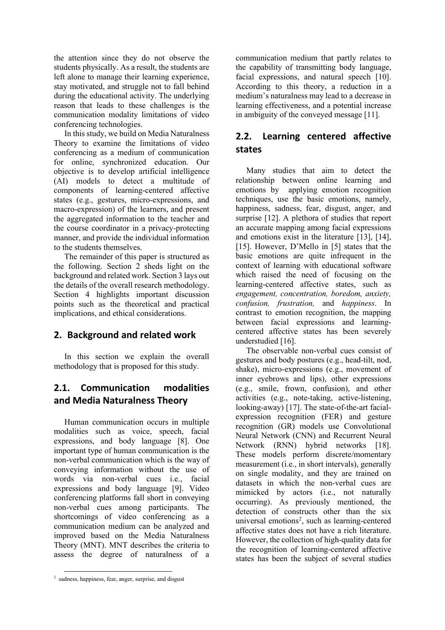the attention since they do not observe the students physically. As a result, the students are left alone to manage their learning experience, stay motivated, and struggle not to fall behind during the educational activity. The underlying reason that leads to these challenges is the communication modality limitations of video conferencing technologies.

In this study, we build on Media Naturalness Theory to examine the limitations of video conferencing as a medium of communication for online, synchronized education. Our objective is to develop artificial intelligence (AI) models to detect a multitude of components of learning-centered affective states (e.g., gestures, micro-expressions, and macro-expression) of the learners, and present the aggregated information to the teacher and the course coordinator in a privacy-protecting manner, and provide the individual information to the students themselves.

The remainder of this paper is structured as the following. Section 2 sheds light on the background and related work. Section 3 lays out the details of the overall research methodology. Section 4 highlights important discussion points such as the theoretical and practical implications, and ethical considerations.

## **2. Background and related work**

In this section we explain the overall methodology that is proposed for this study.

# **2.1. Communication modalities and Media Naturalness Theory**

Human communication occurs in multiple modalities such as voice, speech, facial expressions, and body language [8]. One important type of human communication is the non-verbal communication which is the way of conveying information without the use of words via non-verbal cues i.e., facial expressions and body language [9]. Video conferencing platforms fall short in conveying non-verbal cues among participants. The shortcomings of video conferencing as a communication medium can be analyzed and improved based on the Media Naturalness Theory (MNT). MNT describes the criteria to assess the degree of naturalness of a

communication medium that partly relates to the capability of transmitting body language, facial expressions, and natural speech [10]. According to this theory, a reduction in a medium's naturalness may lead to a decrease in learning effectiveness, and a potential increase in ambiguity of the conveyed message [11].

# **2.2. Learning centered affective states**

Many studies that aim to detect the relationship between online learning and emotions by applying emotion recognition techniques, use the basic emotions, namely, happiness, sadness, fear, disgust, anger, and surprise [12]. A plethora of studies that report an accurate mapping among facial expressions and emotions exist in the literature [13], [14], [15]. However, D'Mello in [5] states that the basic emotions are quite infrequent in the context of learning with educational software which raised the need of focusing on the learning-centered affective states, such as *engagement, concentration, boredom, anxiety, confusion, frustration,* and *happiness*. In contrast to emotion recognition, the mapping between facial expressions and learningcentered affective states has been severely understudied [16].

The observable non-verbal cues consist of gestures and body postures (e.g., head-tilt, nod, shake), micro-expressions (e.g., movement of inner eyebrows and lips), other expressions (e.g., smile, frown, confusion), and other activities (e.g., note-taking, active-listening, looking-away) [17]. The state-of-the-art facialexpression recognition (FER) and gesture recognition (GR) models use Convolutional Neural Network (CNN) and Recurrent Neural Network (RNN) hybrid networks [18]. These models perform discrete/momentary measurement (i.e., in short intervals), generally on single modality, and they are trained on datasets in which the non-verbal cues are mimicked by actors (i.e., not naturally occurring). As previously mentioned, the detection of constructs other than the six universal emotions<sup>[2](#page-1-0)</sup>, such as learning-centered affective states does not have a rich literature. However, the collection of high-quality data for the recognition of learning-centered affective states has been the subject of several studies

<span id="page-1-0"></span><sup>&</sup>lt;sup>2</sup> sadness, happiness, fear, anger, surprise, and disgust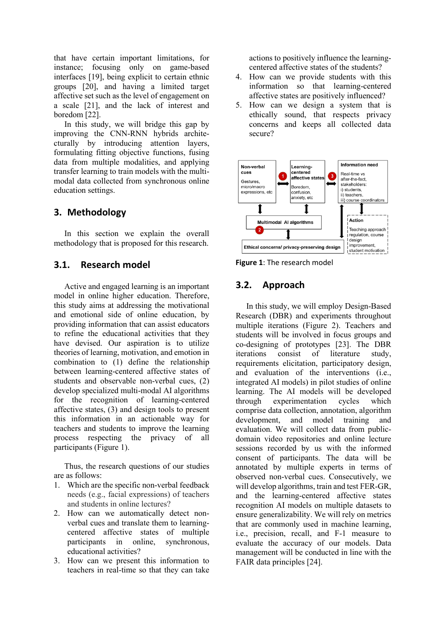that have certain important limitations, for instance; focusing only on game-based interfaces [19], being explicit to certain ethnic groups [20], and having a limited target affective set such as the level of engagement on a scale [21], and the lack of interest and boredom [22].

In this study, we will bridge this gap by improving the CNN-RNN hybrids architecturally by introducing attention layers, formulating fitting objective functions, fusing data from multiple modalities, and applying transfer learning to train models with the multimodal data collected from synchronous online education settings.

### **3. Methodology**

In this section we explain the overall methodology that is proposed for this research.

#### **3.1. Research model**

Active and engaged learning is an important model in online higher education. Therefore, this study aims at addressing the motivational and emotional side of online education, by providing information that can assist educators to refine the educational activities that they have devised. Our aspiration is to utilize theories of learning, motivation, and emotion in combination to (1) define the relationship between learning-centered affective states of students and observable non-verbal cues, (2) develop specialized multi-modal AI algorithms for the recognition of learning-centered affective states, (3) and design tools to present this information in an actionable way for teachers and students to improve the learning process respecting the privacy of all participants (Figure 1).

Thus, the research questions of our studies are as follows:

- 1. Which are the specific non-verbal feedback needs (e.g., facial expressions) of teachers and students in online lectures?
- 2. How can we automatically detect nonverbal cues and translate them to learningcentered affective states of multiple participants in online, synchronous, educational activities?
- 3. How can we present this information to teachers in real-time so that they can take

actions to positively influence the learningcentered affective states of the students?

- 4. How can we provide students with this information so that learning-centered affective states are positively influenced?
- 5. How can we design a system that is ethically sound, that respects privacy concerns and keeps all collected data secure?



**Figure 1**: The research model

#### **3.2. Approach**

In this study, we will employ Design-Based Research (DBR) and experiments throughout multiple iterations (Figure 2). Teachers and students will be involved in focus groups and co-designing of prototypes [23]. The DBR iterations consist of literature study, requirements elicitation, participatory design, and evaluation of the interventions (i.e., integrated AI models) in pilot studies of online learning. The AI models will be developed through experimentation cycles which comprise data collection, annotation, algorithm development, and model training and evaluation. We will collect data from publicdomain video repositories and online lecture sessions recorded by us with the informed consent of participants. The data will be annotated by multiple experts in terms of observed non-verbal cues. Consecutively, we will develop algorithms, train and test FER-GR, and the learning-centered affective states recognition AI models on multiple datasets to ensure generalizability. We will rely on metrics that are commonly used in machine learning, i.e., precision, recall, and F-1 measure to evaluate the accuracy of our models. Data management will be conducted in line with the FAIR data principles [24].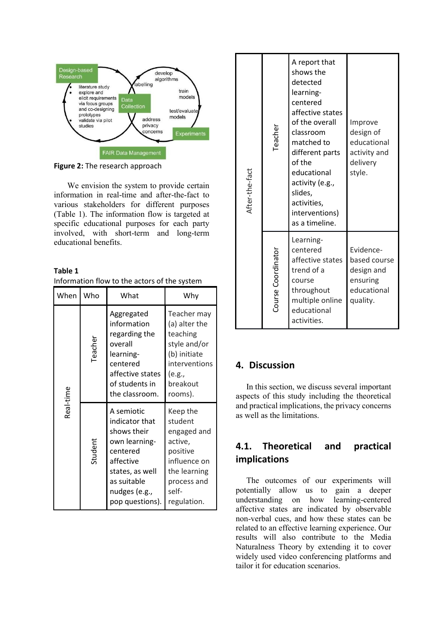

**Figure 2:** The research approach

We envision the system to provide certain information in real-time and after-the-fact to various stakeholders for different purposes (Table 1). The information flow is targeted at specific educational purposes for each party involved, with short-term and long-term educational benefits.

**Table 1** Information flow to the actors of the system

| When      | Who     | What                                                                                                                                                        | Why                                                                                                                              |
|-----------|---------|-------------------------------------------------------------------------------------------------------------------------------------------------------------|----------------------------------------------------------------------------------------------------------------------------------|
| Real-time | Teacher | Aggregated<br>information<br>regarding the<br>overall<br>learning-<br>centered<br>affective states<br>of students in<br>the classroom.                      | Teacher may<br>(a) alter the<br>teaching<br>style and/or<br>(b) initiate<br>interventions<br>(e.g.,<br>breakout<br>rooms).       |
|           | Student | A semiotic<br>indicator that<br>shows their<br>own learning-<br>centered<br>affective<br>states, as well<br>as suitable<br>nudges (e.g.,<br>pop questions). | Keep the<br>student<br>engaged and<br>active,<br>positive<br>influence on<br>the learning<br>process and<br>self-<br>regulation. |

| After-the-fact | Teacher            | A report that<br>shows the<br>detected<br>learning-<br>centered<br>affective states<br>of the overall<br>classroom<br>matched to<br>different parts<br>of the<br>educational<br>activity (e.g.,<br>slides,<br>activities,<br>interventions)<br>as a timeline. | Improve<br>design of<br>educational<br>activity and<br>delivery<br>style.      |
|----------------|--------------------|---------------------------------------------------------------------------------------------------------------------------------------------------------------------------------------------------------------------------------------------------------------|--------------------------------------------------------------------------------|
|                | Course Coordinator | Learning-<br>centered<br>affective states<br>trend of a<br>course<br>throughout<br>multiple online<br>educational<br>activities.                                                                                                                              | Evidence-<br>based course<br>design and<br>ensuring<br>educational<br>quality. |

#### **4. Discussion**

In this section, we discuss several important aspects of this study including the theoretical and practical implications, the privacy concerns as well as the limitations.

# **4.1. Theoretical and practical implications**

The outcomes of our experiments will potentially allow us to gain a deeper understanding on how learning-centered affective states are indicated by observable non-verbal cues, and how these states can be related to an effective learning experience. Our results will also contribute to the Media Naturalness Theory by extending it to cover widely used video conferencing platforms and tailor it for education scenarios.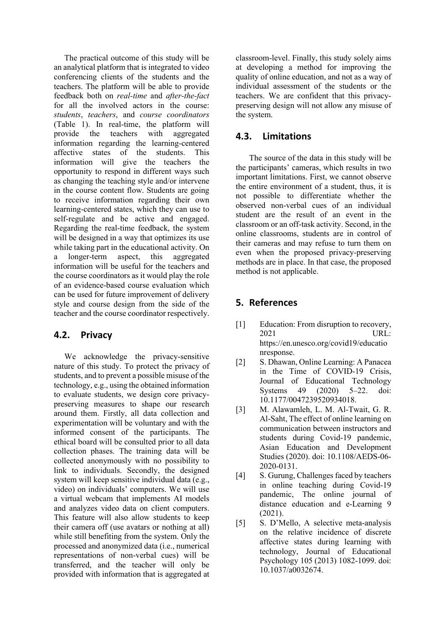The practical outcome of this study will be an analytical platform that is integrated to video conferencing clients of the students and the teachers. The platform will be able to provide feedback both on *real-time* and *after-the-fact*  for all the involved actors in the course: *students*, *teachers*, and *course coordinators* (Table 1). In real-time, the platform will provide the teachers with aggregated information regarding the learning-centered<br>affective states of the students. This of the students. This information will give the teachers the opportunity to respond in different ways such as changing the teaching style and/or intervene in the course content flow. Students are going to receive information regarding their own learning-centered states, which they can use to self-regulate and be active and engaged. Regarding the real-time feedback, the system will be designed in a way that optimizes its use while taking part in the educational activity. On a longer-term aspect, this aggregated information will be useful for the teachers and the course coordinators as it would play the role of an evidence-based course evaluation which can be used for future improvement of delivery style and course design from the side of the teacher and the course coordinator respectively.

#### **4.2. Privacy**

We acknowledge the privacy-sensitive nature of this study. To protect the privacy of students, and to prevent a possible misuse of the technology, e.g., using the obtained information to evaluate students, we design core privacypreserving measures to shape our research around them. Firstly, all data collection and experimentation will be voluntary and with the informed consent of the participants. The ethical board will be consulted prior to all data collection phases. The training data will be collected anonymously with no possibility to link to individuals. Secondly, the designed system will keep sensitive individual data (e.g., video) on individuals' computers. We will use a virtual webcam that implements AI models and analyzes video data on client computers. This feature will also allow students to keep their camera off (use avatars or nothing at all) while still benefiting from the system. Only the processed and anonymized data (i.e., numerical representations of non-verbal cues) will be transferred, and the teacher will only be provided with information that is aggregated at classroom-level. Finally, this study solely aims at developing a method for improving the quality of online education, and not as a way of individual assessment of the students or the teachers. We are confident that this privacypreserving design will not allow any misuse of the system.

### **4.3. Limitations**

The source of the data in this study will be the participants' cameras, which results in two important limitations. First, we cannot observe the entire environment of a student, thus, it is not possible to differentiate whether the observed non-verbal cues of an individual student are the result of an event in the classroom or an off-task activity. Second, in the online classrooms, students are in control of their cameras and may refuse to turn them on even when the proposed privacy-preserving methods are in place. In that case, the proposed method is not applicable.

### **5. References**

- [1] Education: From disruption to recovery, 2021 URL: https://en.unesco.org/covid19/educatio nresponse.
- [2] S. Dhawan, Online Learning: A Panacea in the Time of COVID-19 Crisis, Journal of Educational Technology Systems 49 (2020) 5–22. doi: 10.1177/0047239520934018.
- [3] M. Alawamleh, L. M. Al-Twait, G. R. Al-Saht, The effect of online learning on communication between instructors and students during Covid-19 pandemic, Asian Education and Development Studies (2020). doi: 10.1108/AEDS-06- 2020-0131.
- [4] S. Gurung, Challenges faced by teachers in online teaching during Covid-19 pandemic, The online journal of distance education and e-Learning 9 (2021).
- [5] S. D'Mello, A selective meta-analysis on the relative incidence of discrete affective states during learning with technology, Journal of Educational Psychology 105 (2013) 1082-1099. doi: 10.1037/a0032674.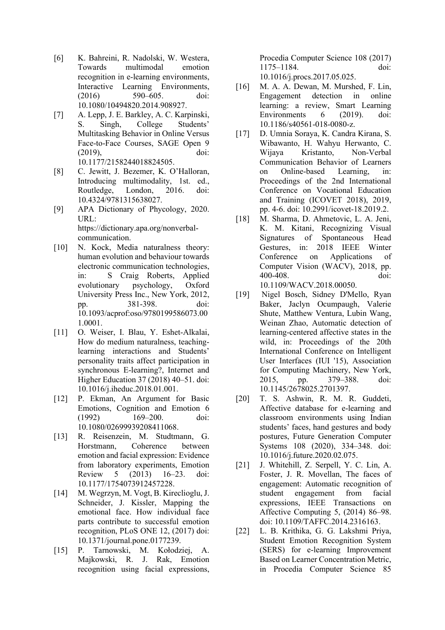- [6] K. Bahreini, R. Nadolski, W. Westera, Towards multimodal emotion recognition in e-learning environments, Interactive Learning Environments, (2016) 590–605. doi: 10.1080/10494820.2014.908927.
- [7] A. Lepp, J. E. Barkley, A. C. Karpinski, S. Singh, College Students' Multitasking Behavior in Online Versus Face-to-Face Courses, SAGE Open 9 (2019), doi: 10.1177/2158244018824505.
- [8] C. Jewitt, J. Bezemer, K. O'Halloran, Introducing multimodality, 1st. ed., Routledge, London, 2016. doi: 10.4324/9781315638027.
- [9] APA Dictionary of Phycology, 2020. URL: https://dictionary.apa.org/nonverbalcommunication.
- [10] N. Kock, Media naturalness theory: human evolution and behaviour towards electronic communication technologies, in: S Craig Roberts, Applied evolutionary psychology, Oxford University Press Inc., New York, 2012, pp. 381-398. doi: 10.1093/acprof:oso/9780199586073.00 1.0001.
- [11] O. Weiser, I. Blau, Y. Eshet-Alkalai, How do medium naturalness, teachinglearning interactions and Students' personality traits affect participation in synchronous E-learning?, Internet and Higher Education 37 (2018) 40–51. doi: 10.1016/j.iheduc.2018.01.001.
- [12] P. Ekman, An Argument for Basic Emotions, Cognition and Emotion 6<br>(1992) 169–200. doi: (1992) 169–200. doi: 10.1080/02699939208411068.
- [13] R. Reisenzein, M. Studtmann, G. Horstmann, Coherence between emotion and facial expression: Evidence from laboratory experiments, Emotion Review 5 (2013) 16–23. doi: 10.1177/1754073912457228.
- [14] M. Wegrzyn, M. Vogt, B. Kireclioglu, J. Schneider, J. Kissler, Mapping the emotional face. How individual face parts contribute to successful emotion recognition, PLoS ONE 12, (2017) doi: 10.1371/journal.pone.0177239.
- [15] P. Tarnowski, M. Kołodziej, A. Majkowski, R. J. Rak, Emotion recognition using facial expressions,

Procedia Computer Science 108 (2017) 1175–1184. doi:

10.1016/j.procs.2017.05.025.

- [16] M. A. A. Dewan, M. Murshed, F. Lin,<br>Engagement detection in online detection in online learning: a review, Smart Learning Environments 6 (2019). doi: 10.1186/s40561-018-0080-z.
- [17] D. Umnia Soraya, K. Candra Kirana, S. Wibawanto, H. Wahyu Herwanto, C. Wijaya Kristanto, Non-Verbal Communication Behavior of Learners on Online-based Learning, in: Proceedings of the 2nd International Conference on Vocational Education and Training (ICOVET 2018), 2019, pp. 4-6. doi: 10.2991/icovet-18.2019.2.
- [18] M. Sharma, D. Ahmetovic, L. A. Jeni, K. M. Kitani, Recognizing Visual Signatures of Spontaneous Head Gestures, in: 2018 IEEE Winter Conference on Applications of Computer Vision (WACV), 2018, pp. 400-408. doi:

10.1109/WACV.2018.00050.

- [19] Nigel Bosch, Sidney D'Mello, Ryan Baker, Jaclyn Ocumpaugh, Valerie Shute, Matthew Ventura, Lubin Wang, Weinan Zhao, Automatic detection of learning-centered affective states in the wild, in: Proceedings of the 20th International Conference on Intelligent User Interfaces (IUI '15), Association for Computing Machinery, New York, 2015, pp. 379–388. doi: 10.1145/2678025.2701397.
- [20] T. S. Ashwin, R. M. R. Guddeti, Affective database for e-learning and classroom environments using Indian students' faces, hand gestures and body postures, Future Generation Computer Systems 108 (2020), 334–348. doi: 10.1016/j.future.2020.02.075.
- [21] J. Whitehill, Z. Serpell, Y. C. Lin, A. Foster, J. R. Movellan, The faces of engagement: Automatic recognition of student engagement from facial expressions, IEEE Transactions on Affective Computing 5, (2014) 86–98. doi: 10.1109/TAFFC.2014.2316163.
- [22] L. B. Krithika, G. G. Lakshmi Priya, Student Emotion Recognition System (SERS) for e-learning Improvement Based on Learner Concentration Metric, in Procedia Computer Science 85